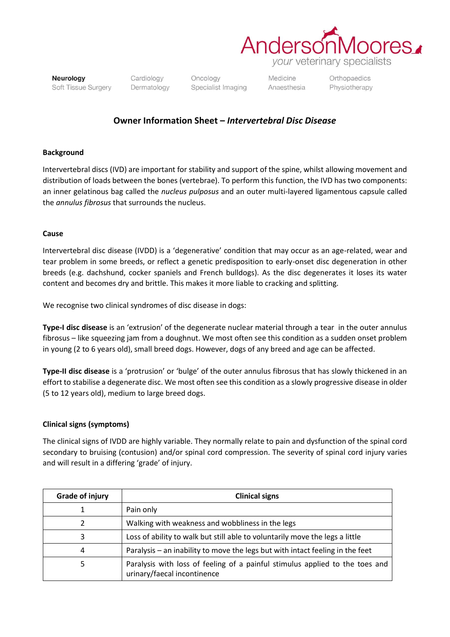

*your* veterinary specialists

Neurology Soft Tissue Surgery Cardiology Dermatology

Oncology Specialist Imaging Medicine Anaesthesia Orthopaedics Physiotherapy

## **Owner Information Sheet –** *Intervertebral Disc Disease*

#### **Background**

Intervertebral discs (IVD) are important for stability and support of the spine, whilst allowing movement and distribution of loads between the bones (vertebrae). To perform this function, the IVD has two components: an inner gelatinous bag called the *nucleus pulposus* and an outer multi-layered ligamentous capsule called the *annulus fibrosus* that surrounds the nucleus.

#### **Cause**

Intervertebral disc disease (IVDD) is a 'degenerative' condition that may occur as an age-related, wear and tear problem in some breeds, or reflect a genetic predisposition to early-onset disc degeneration in other breeds (e.g. dachshund, cocker spaniels and French bulldogs). As the disc degenerates it loses its water content and becomes dry and brittle. This makes it more liable to cracking and splitting.

We recognise two clinical syndromes of disc disease in dogs:

**Type-I disc disease** is an 'extrusion' of the degenerate nuclear material through a tear in the outer annulus fibrosus – like squeezing jam from a doughnut. We most often see this condition as a sudden onset problem in young (2 to 6 years old), small breed dogs. However, dogs of any breed and age can be affected.

**Type-II disc disease** is a 'protrusion' or 'bulge' of the outer annulus fibrosus that has slowly thickened in an effort to stabilise a degenerate disc. We most often see this condition as a slowly progressive disease in older (5 to 12 years old), medium to large breed dogs.

### **Clinical signs (symptoms)**

The clinical signs of IVDD are highly variable. They normally relate to pain and dysfunction of the spinal cord secondary to bruising (contusion) and/or spinal cord compression. The severity of spinal cord injury varies and will result in a differing 'grade' of injury.

| <b>Grade of injury</b> | <b>Clinical signs</b>                                                                                       |
|------------------------|-------------------------------------------------------------------------------------------------------------|
|                        | Pain only                                                                                                   |
| າ                      | Walking with weakness and wobbliness in the legs                                                            |
| 3                      | Loss of ability to walk but still able to voluntarily move the legs a little                                |
| 4                      | Paralysis – an inability to move the legs but with intact feeling in the feet                               |
| 5                      | Paralysis with loss of feeling of a painful stimulus applied to the toes and<br>urinary/faecal incontinence |